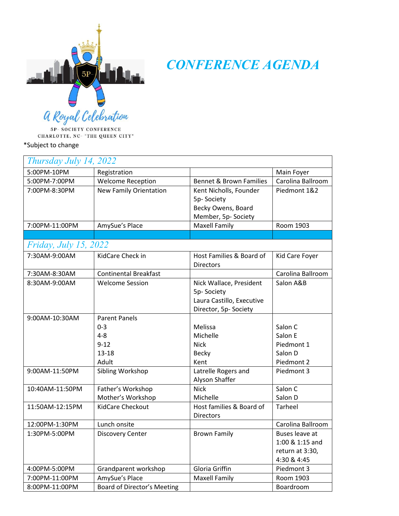

*CONFERENCE AGENDA*

5P-SOCIETY CONFERENCE CHARLOTTE, NC- "THE QUEEN CITY"

\*Subject to change

| Thursday July 14, 2022       |                                                      |                                                                                            |                                                                            |  |  |
|------------------------------|------------------------------------------------------|--------------------------------------------------------------------------------------------|----------------------------------------------------------------------------|--|--|
| 5:00PM-10PM                  | Registration                                         |                                                                                            | Main Foyer                                                                 |  |  |
| 5:00PM-7:00PM                | <b>Welcome Reception</b>                             | <b>Bennet &amp; Brown Families</b>                                                         | Carolina Ballroom                                                          |  |  |
| 7:00PM-8:30PM                | <b>New Family Orientation</b>                        | Kent Nicholls, Founder<br>5p-Society<br>Becky Owens, Board<br>Member, 5p- Society          | Piedmont 1&2                                                               |  |  |
| 7:00PM-11:00PM               | AmySue's Place                                       | <b>Maxell Family</b>                                                                       | Room 1903                                                                  |  |  |
|                              |                                                      |                                                                                            |                                                                            |  |  |
| <i>Friday, July 15, 2022</i> |                                                      |                                                                                            |                                                                            |  |  |
| 7:30AM-9:00AM                | KidCare Check in                                     | Host Families & Board of<br><b>Directors</b>                                               | Kid Care Foyer                                                             |  |  |
| 7:30AM-8:30AM                | <b>Continental Breakfast</b>                         |                                                                                            | Carolina Ballroom                                                          |  |  |
| 8:30AM-9:00AM                | <b>Welcome Session</b>                               | Nick Wallace, President<br>5p-Society<br>Laura Castillo, Executive<br>Director, 5p-Society | Salon A&B                                                                  |  |  |
| 9:00AM-10:30AM               | <b>Parent Panels</b>                                 |                                                                                            |                                                                            |  |  |
|                              | $0 - 3$<br>$4 - 8$<br>$9 - 12$<br>$13 - 18$<br>Adult | Melissa<br>Michelle<br><b>Nick</b><br><b>Becky</b><br>Kent                                 | Salon C<br>Salon E<br>Piedmont 1<br>Salon D<br>Piedmont 2                  |  |  |
| 9:00AM-11:50PM               | Sibling Workshop                                     | Latrelle Rogers and<br>Alyson Shaffer                                                      | Piedmont 3                                                                 |  |  |
| 10:40AM-11:50PM              | Father's Workshop<br>Mother's Workshop               | <b>Nick</b><br>Michelle                                                                    | Salon C<br>Salon D                                                         |  |  |
| 11:50AM-12:15PM              | KidCare Checkout                                     | Host families & Board of<br><b>Directors</b>                                               | Tarheel                                                                    |  |  |
| 12:00PM-1:30PM               | Lunch onsite                                         |                                                                                            | Carolina Ballroom                                                          |  |  |
| 1:30PM-5:00PM                | <b>Discovery Center</b>                              | <b>Brown Family</b>                                                                        | <b>Buses leave at</b><br>1:00 & 1:15 and<br>return at 3:30,<br>4:30 & 4:45 |  |  |
| 4:00PM-5:00PM                | Grandparent workshop                                 | Gloria Griffin                                                                             | Piedmont 3                                                                 |  |  |
| 7:00PM-11:00PM               | AmySue's Place                                       | <b>Maxell Family</b>                                                                       | Room 1903                                                                  |  |  |
| 8:00PM-11:00PM               | Board of Director's Meeting                          |                                                                                            | Boardroom                                                                  |  |  |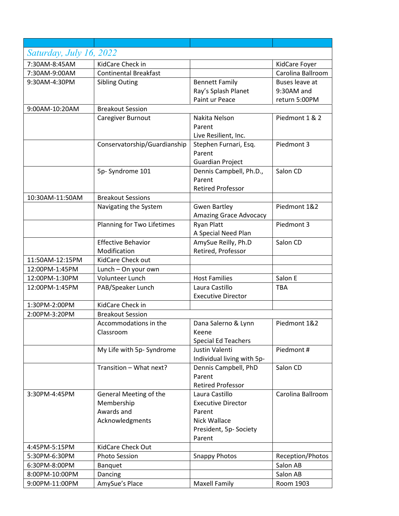| Saturday, July 16, 2022 |                              |                                              |                   |
|-------------------------|------------------------------|----------------------------------------------|-------------------|
| 7:30AM-8:45AM           | KidCare Check in             |                                              | KidCare Foyer     |
| 7:30AM-9:00AM           | <b>Continental Breakfast</b> |                                              | Carolina Ballroom |
| 9:30AM-4:30PM           | <b>Sibling Outing</b>        | <b>Bennett Family</b>                        | Buses leave at    |
|                         |                              | Ray's Splash Planet                          | 9:30AM and        |
|                         |                              | Paint ur Peace                               | return 5:00PM     |
| 9:00AM-10:20AM          | <b>Breakout Session</b>      |                                              |                   |
|                         | Caregiver Burnout            | Nakita Nelson                                | Piedmont 1 & 2    |
|                         |                              | Parent                                       |                   |
|                         |                              | Live Resilient, Inc.                         |                   |
|                         | Conservatorship/Guardianship | Stephen Furnari, Esq.                        | Piedmont 3        |
|                         |                              | Parent                                       |                   |
|                         |                              | <b>Guardian Project</b>                      |                   |
|                         | 5p-Syndrome 101              | Dennis Campbell, Ph.D.,                      | Salon CD          |
|                         |                              | Parent                                       |                   |
|                         |                              | <b>Retired Professor</b>                     |                   |
| 10:30AM-11:50AM         | <b>Breakout Sessions</b>     |                                              |                   |
|                         | Navigating the System        | <b>Gwen Bartley</b>                          | Piedmont 1&2      |
|                         |                              | <b>Amazing Grace Advocacy</b>                |                   |
|                         | Planning for Two Lifetimes   | <b>Ryan Platt</b>                            | Piedmont 3        |
|                         |                              | A Special Need Plan                          |                   |
|                         | <b>Effective Behavior</b>    | AmySue Reilly, Ph.D                          | Salon CD          |
|                         | Modification                 | Retired, Professor                           |                   |
| 11:50AM-12:15PM         | KidCare Check out            |                                              |                   |
| 12:00PM-1:45PM          | Lunch - On your own          |                                              |                   |
| 12:00PM-1:30PM          | Volunteer Lunch              | <b>Host Families</b>                         | Salon E           |
| 12:00PM-1:45PM          | PAB/Speaker Lunch            | Laura Castillo                               | <b>TBA</b>        |
|                         |                              | <b>Executive Director</b>                    |                   |
| 1:30PM-2:00PM           | KidCare Check in             |                                              |                   |
| 2:00PM-3:20PM           | <b>Breakout Session</b>      |                                              |                   |
|                         | Accommodations in the        | Dana Salerno & Lynn                          | Piedmont 1&2      |
|                         | Classroom                    | Keene                                        |                   |
|                         |                              | <b>Special Ed Teachers</b>                   |                   |
|                         | My Life with 5p- Syndrome    | Justin Valenti<br>Individual living with 5p- | Piedmont#         |
|                         | Transition - What next?      | Dennis Campbell, PhD                         | Salon CD          |
|                         |                              | Parent                                       |                   |
|                         |                              | <b>Retired Professor</b>                     |                   |
| 3:30PM-4:45PM           | General Meeting of the       | Laura Castillo                               | Carolina Ballroom |
|                         | Membership                   | <b>Executive Director</b>                    |                   |
|                         | Awards and                   | Parent                                       |                   |
|                         | Acknowledgments              | Nick Wallace                                 |                   |
|                         |                              | President, 5p-Society                        |                   |
|                         |                              | Parent                                       |                   |
| 4:45PM-5:15PM           | KidCare Check Out            |                                              |                   |
| 5:30PM-6:30PM           | Photo Session                | <b>Snappy Photos</b>                         | Reception/Photos  |
| 6:30PM-8:00PM           | Banquet                      |                                              | Salon AB          |
| 8:00PM-10:00PM          | Dancing                      |                                              | Salon AB          |
| 9:00PM-11:00PM          | AmySue's Place               | <b>Maxell Family</b>                         | Room 1903         |